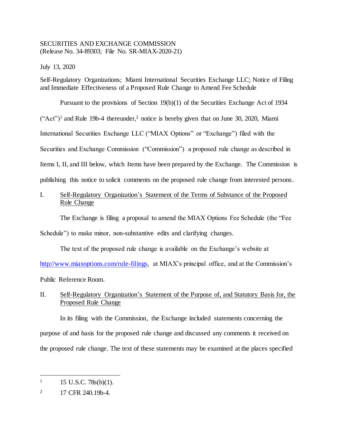## SECURITIES AND EXCHANGE COMMISSION (Release No. 34-89303; File No. SR-MIAX-2020-21)

July 13, 2020

Self-Regulatory Organizations; Miami International Securities Exchange LLC; Notice of Filing and Immediate Effectiveness of a Proposed Rule Change to Amend Fee Schedule

Pursuant to the provisions of Section 19(b)(1) of the Securities Exchange Act of 1934  $("Act")<sup>1</sup>$  and Rule 19b-4 thereunder,<sup>2</sup> notice is hereby given that on June 30, 2020, Miami International Securities Exchange LLC ("MIAX Options" or "Exchange") filed with the Securities and Exchange Commission ("Commission") a proposed rule change as described in Items I, II, and III below, which Items have been prepared by the Exchange. The Commission is publishing this notice to solicit comments on the proposed rule change from interested persons.

## I. Self-Regulatory Organization's Statement of the Terms of Substance of the Proposed Rule Change

The Exchange is filing a proposal to amend the MIAX Options Fee Schedule (the "Fee Schedule") to make minor, non-substantive edits and clarifying changes.

The text of the proposed rule change is available on the Exchange's website at

[http://www.miaxoptions.com/rule-filings,](http://www.miaxoptions.com/rule-filings) at MIAX's principal office, and at the Commission's Public Reference Room.

## II. Self-Regulatory Organization's Statement of the Purpose of, and Statutory Basis for, the Proposed Rule Change

In its filing with the Commission, the Exchange included statements concerning the purpose of and basis for the proposed rule change and discussed any comments it received on the proposed rule change. The text of these statements may be examined at the places specified

l  $1 \quad 15 \text{ U.S.C. } 78 \text{s(b)}(1).$ 

<sup>&</sup>lt;sup>2</sup> 17 CFR 240.19b-4.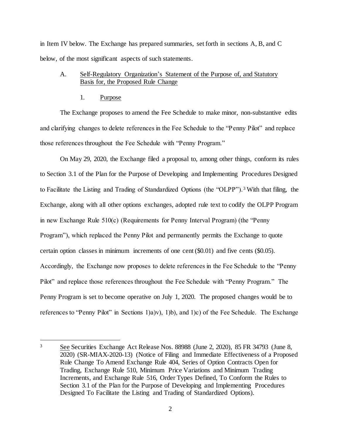in Item IV below. The Exchange has prepared summaries, set forth in sections A, B, and C below, of the most significant aspects of such statements.

## A. Self-Regulatory Organization's Statement of the Purpose of, and Statutory Basis for, the Proposed Rule Change

### 1. Purpose

l

The Exchange proposes to amend the Fee Schedule to make minor, non-substantive edits and clarifying changes to delete references in the Fee Schedule to the "Penny Pilot" and replace those references throughout the Fee Schedule with "Penny Program."

On May 29, 2020, the Exchange filed a proposal to, among other things, conform its rules to Section 3.1 of the Plan for the Purpose of Developing and Implementing Procedures Designed to Facilitate the Listing and Trading of Standardized Options (the "OLPP").<sup>3</sup> With that filing, the Exchange, along with all other options exchanges, adopted rule text to codify the OLPP Program in new Exchange Rule 510(c) (Requirements for Penny Interval Program) (the "Penny Program"), which replaced the Penny Pilot and permanently permits the Exchange to quote certain option classes in minimum increments of one cent (\$0.01) and five cents (\$0.05). Accordingly, the Exchange now proposes to delete references in the Fee Schedule to the "Penny Pilot" and replace those references throughout the Fee Schedule with "Penny Program." The Penny Program is set to become operative on July 1, 2020. The proposed changes would be to references to "Penny Pilot" in Sections 1)a)v), 1)b), and 1)c) of the Fee Schedule. The Exchange

<sup>3</sup> See Securities Exchange Act Release Nos. 88988 (June 2, 2020), 85 FR 34793 (June 8, 2020) (SR-MIAX-2020-13) (Notice of Filing and Immediate Effectiveness of a Proposed Rule Change To Amend Exchange Rule 404, Series of Option Contracts Open for Trading, Exchange Rule 510, Minimum Price Variations and Minimum Trading Increments, and Exchange Rule 516, Order Types Defined, To Conform the Rules to Section 3.1 of the Plan for the Purpose of Developing and Implementing Procedures Designed To Facilitate the Listing and Trading of Standardized Options).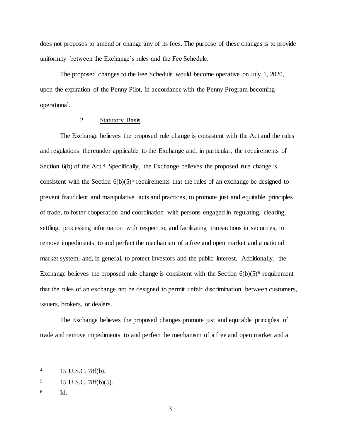does not proposes to amend or change any of its fees. The purpose of these changes is to provide uniformity between the Exchange's rules and the Fee Schedule.

The proposed changes to the Fee Schedule would become operative on July 1, 2020, upon the expiration of the Penny Pilot, in accordance with the Penny Program becoming operational.

## 2. Statutory Basis

The Exchange believes the proposed rule change is consistent with the Act and the rules and regulations thereunder applicable to the Exchange and, in particular, the requirements of Section 6(b) of the Act.<sup>4</sup> Specifically, the Exchange believes the proposed rule change is consistent with the Section  $6(b)(5)^5$  requirements that the rules of an exchange be designed to prevent fraudulent and manipulative acts and practices, to promote just and equitable principles of trade, to foster cooperation and coordination with persons engaged in regulating, clearing, settling, processing information with respect to, and facilitating transactions in securities, to remove impediments to and perfect the mechanism of a free and open market and a national market system, and, in general, to protect investors and the public interest. Additionally, the Exchange believes the proposed rule change is consistent with the Section  $6(b)(5)^6$  requirement that the rules of an exchange not be designed to permit unfair discrimination between customers, issuers, brokers, or dealers.

The Exchange believes the proposed changes promote just and equitable principles of trade and remove impediments to and perfect the mechanism of a free and open market and a

6 Id.

l

<sup>4</sup> 15 U.S.C. 78f(b).

<sup>5</sup> 15 U.S.C. 78f(b)(5).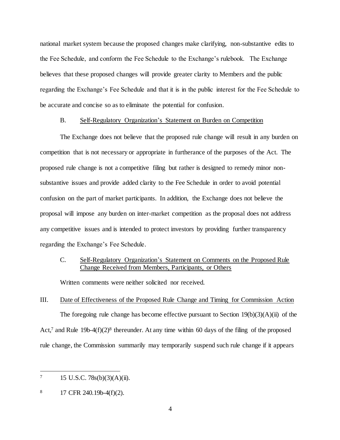national market system because the proposed changes make clarifying, non-substantive edits to the Fee Schedule, and conform the Fee Schedule to the Exchange's rulebook. The Exchange believes that these proposed changes will provide greater clarity to Members and the public regarding the Exchange's Fee Schedule and that it is in the public interest for the Fee Schedule to be accurate and concise so as to eliminate the potential for confusion.

#### B. Self-Regulatory Organization's Statement on Burden on Competition

The Exchange does not believe that the proposed rule change will result in any burden on competition that is not necessary or appropriate in furtherance of the purposes of the Act. The proposed rule change is not a competitive filing but rather is designed to remedy minor nonsubstantive issues and provide added clarity to the Fee Schedule in order to avoid potential confusion on the part of market participants. In addition, the Exchange does not believe the proposal will impose any burden on inter-market competition as the proposal does not address any competitive issues and is intended to protect investors by providing further transparency regarding the Exchange's Fee Schedule.

## C. Self-Regulatory Organization's Statement on Comments on the Proposed Rule Change Received from Members, Participants, or Others

Written comments were neither solicited nor received.

# III. Date of Effectiveness of the Proposed Rule Change and Timing for Commission Action The foregoing rule change has become effective pursuant to Section  $19(b)(3)(A)(ii)$  of the Act,<sup>7</sup> and Rule 19b-4(f)(2)<sup>8</sup> thereunder. At any time within 60 days of the filing of the proposed rule change, the Commission summarily may temporarily suspend such rule change if it appears

l

 $7 \qquad 15 \text{ U.S.C. } 78 \text{s(b)}(3) (\text{A})(\text{ii}).$ 

 $8$  17 CFR 240.19b-4(f)(2).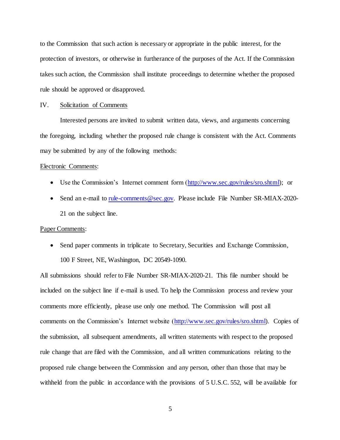to the Commission that such action is necessary or appropriate in the public interest, for the protection of investors, or otherwise in furtherance of the purposes of the Act. If the Commission takes such action, the Commission shall institute proceedings to determine whether the proposed rule should be approved or disapproved.

#### IV. Solicitation of Comments

Interested persons are invited to submit written data, views, and arguments concerning the foregoing, including whether the proposed rule change is consistent with the Act. Comments may be submitted by any of the following methods:

#### Electronic Comments:

- Use the Commission's Internet comment form [\(http://www.sec.gov/rules/sro.shtml\);](http://www.sec.gov/rules/sro.shtml) or
- Send an e-mail to [rule-comments@sec.gov.](mailto:rule-comments@sec.gov) Please include File Number SR-MIAX-2020-21 on the subject line.

#### Paper Comments:

• Send paper comments in triplicate to Secretary, Securities and Exchange Commission, 100 F Street, NE, Washington, DC 20549-1090.

All submissions should refer to File Number SR-MIAX-2020-21. This file number should be included on the subject line if e-mail is used. To help the Commission process and review your comments more efficiently, please use only one method. The Commission will post all comments on the Commission's Internet website [\(http://www.sec.gov/rules/sro.shtml\).](http://www.sec.gov/rules/sro.shtml) Copies of the submission, all subsequent amendments, all written statements with respect to the proposed rule change that are filed with the Commission, and all written communications relating to the proposed rule change between the Commission and any person, other than those that may be with held from the public in accordance with the provisions of 5 U.S.C. 552, will be available for